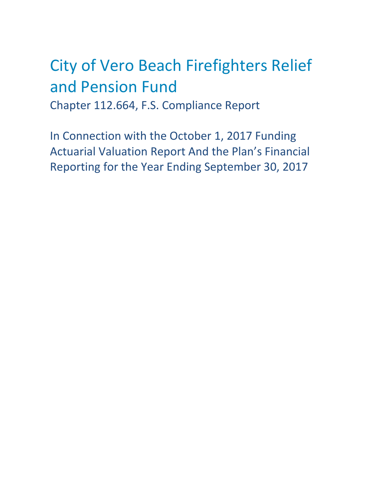# City of Vero Beach Firefighters Relief and Pension Fund Chapter 112.664, F.S. Compliance Report

In Connection with the October 1, 2017 Funding Actuarial Valuation Report And the Plan's Financial Reporting for the Year Ending September 30, 2017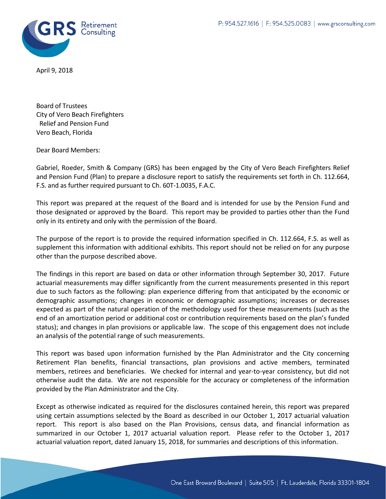

April 9, 2018

Board of Trustees City of Vero Beach Firefighters Relief and Pension Fund Vero Beach, Florida

Dear Board Members:

Gabriel, Roeder, Smith & Company (GRS) has been engaged by the City of Vero Beach Firefighters Relief and Pension Fund (Plan) to prepare a disclosure report to satisfy the requirements set forth in Ch. 112.664, F.S. and as further required pursuant to Ch. 60T-1.0035, F.A.C.

This report was prepared at the request of the Board and is intended for use by the Pension Fund and those designated or approved by the Board. This report may be provided to parties other than the Fund only in its entirety and only with the permission of the Board.

The purpose of the report is to provide the required information specified in Ch. 112.664, F.S. as well as supplement this information with additional exhibits. This report should not be relied on for any purpose other than the purpose described above.

The findings in this report are based on data or other information through September 30, 2017. Future actuarial measurements may differ significantly from the current measurements presented in this report due to such factors as the following: plan experience differing from that anticipated by the economic or demographic assumptions; changes in economic or demographic assumptions; increases or decreases expected as part of the natural operation of the methodology used for these measurements (such as the end of an amortization period or additional cost or contribution requirements based on the plan's funded status); and changes in plan provisions or applicable law. The scope of this engagement does not include an analysis of the potential range of such measurements.

This report was based upon information furnished by the Plan Administrator and the City concerning Retirement Plan benefits, financial transactions, plan provisions and active members, terminated members, retirees and beneficiaries. We checked for internal and year-to-year consistency, but did not otherwise audit the data. We are not responsible for the accuracy or completeness of the information provided by the Plan Administrator and the City.

Except as otherwise indicated as required for the disclosures contained herein, this report was prepared using certain assumptions selected by the Board as described in our October 1, 2017 actuarial valuation report. This report is also based on the Plan Provisions, census data, and financial information as summarized in our October 1, 2017 actuarial valuation report. Please refer to the October 1, 2017 actuarial valuation report, dated January 15, 2018, for summaries and descriptions of this information.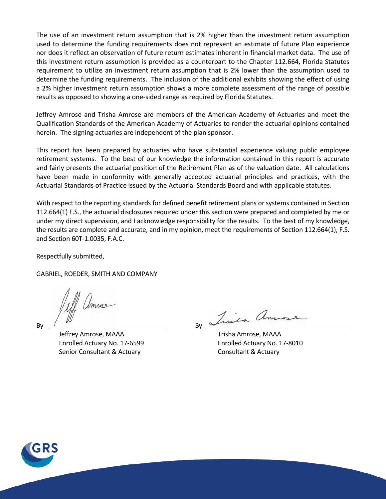The use of an investment return assumption that is 2% higher than the investment return assumption used to determine the funding requirements does not represent an estimate of future Plan experience nor does it reflect an observation of future return estimates inherent in financial market data. The use of this investment return assumption is provided as a counterpart to the Chapter 112.664, Florida Statutes requirement to utilize an investment return assumption that is 2% lower than the assumption used to determine the funding requirements. The inclusion of the additional exhibits showing the effect of using a 2% higher investment return assumption shows a more complete assessment of the range of possible results as opposed to showing a one-sided range as required by Florida Statutes.

Jeffrey Amrose and Trisha Amrose are members of the American Academy of Actuaries and meet the Qualification Standards of the American Academy of Actuaries to render the actuarial opinions contained herein. The signing actuaries are independent of the plan sponsor.

This report has been prepared by actuaries who have substantial experience valuing public employee retirement systems. To the best of our knowledge the information contained in this report is accurate and fairly presents the actuarial position of the Retirement Plan as of the valuation date. All calculations have been made in conformity with generally accepted actuarial principles and practices, with the Actuarial Standards of Practice issued by the Actuarial Standards Board and with applicable statutes.

With respect to the reporting standards for defined benefit retirement plans or systems contained in Section 112.664(1) F.S., the actuarial disclosures required under this section were prepared and completed by me or under my direct supervision, and I acknowledge responsibility for the results. To the best of my knowledge, the results are complete and accurate, and in my opinion, meet the requirements of Section 112.664(1), F.S. and Section 60T-1.0035, F.A.C.

Respectfully submitted,

GABRIEL, ROEDER, SMITH AND COMPANY

amus  $\mathsf{By}$  By  $\mathsf{By}$ 

 Jeffrey Amrose, MAAA Trisha Amrose, MAAA Enrolled Actuary No. 17-6599 Enrolled Actuary No. 17-8010 Senior Consultant & Actuary Consultant & Actuary

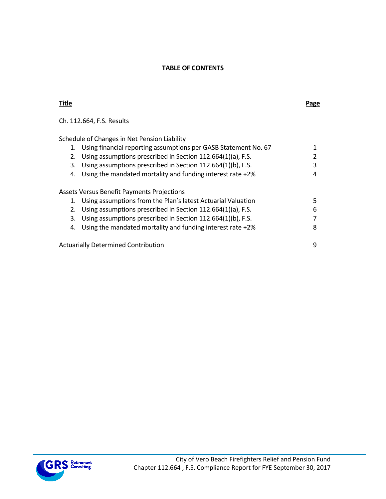## **TABLE OF CONTENTS**

| <b>Title</b> |                                                                 | Page |
|--------------|-----------------------------------------------------------------|------|
|              | Ch. 112.664, F.S. Results                                       |      |
|              | Schedule of Changes in Net Pension Liability                    |      |
| 1.           | Using financial reporting assumptions per GASB Statement No. 67 |      |
| 2.           | Using assumptions prescribed in Section 112.664(1)(a), F.S.     |      |
| 3.           | Using assumptions prescribed in Section 112.664(1)(b), F.S.     | 3    |
| 4.           | Using the mandated mortality and funding interest rate +2%      | 4    |
|              | <b>Assets Versus Benefit Payments Projections</b>               |      |
| 1.           | Using assumptions from the Plan's latest Actuarial Valuation    | 5    |
| 2.           | Using assumptions prescribed in Section 112.664(1)(a), F.S.     | 6    |
| 3.           | Using assumptions prescribed in Section 112.664(1)(b), F.S.     |      |
| 4.           | Using the mandated mortality and funding interest rate +2%      | 8    |
|              | <b>Actuarially Determined Contribution</b>                      | 9    |

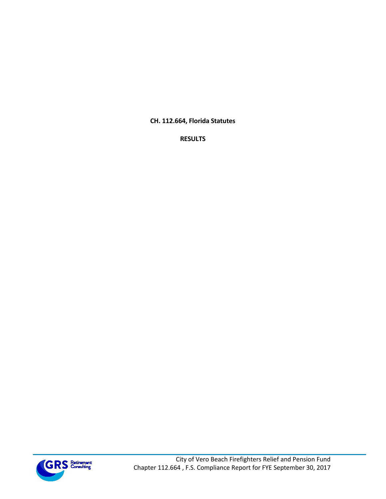**CH. 112.664, Florida Statutes**

**RESULTS**

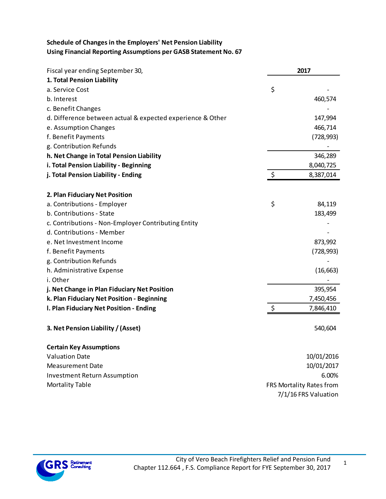# **Schedule of Changes in the Employers' Net Pension Liability Using Financial Reporting Assumptions per GASB Statement No. 67**

| Fiscal year ending September 30,                           | 2017                     |
|------------------------------------------------------------|--------------------------|
| 1. Total Pension Liability                                 |                          |
| a. Service Cost                                            | \$                       |
| b. Interest                                                | 460,574                  |
| c. Benefit Changes                                         |                          |
| d. Difference between actual & expected experience & Other | 147,994                  |
| e. Assumption Changes                                      | 466,714                  |
| f. Benefit Payments                                        | (728, 993)               |
| g. Contribution Refunds                                    |                          |
| h. Net Change in Total Pension Liability                   | 346,289                  |
| i. Total Pension Liability - Beginning                     | 8,040,725                |
| j. Total Pension Liability - Ending                        | \$<br>8,387,014          |
| 2. Plan Fiduciary Net Position                             |                          |
| a. Contributions - Employer                                | \$<br>84,119             |
| b. Contributions - State                                   | 183,499                  |
| c. Contributions - Non-Employer Contributing Entity        |                          |
| d. Contributions - Member                                  |                          |
| e. Net Investment Income                                   | 873,992                  |
| f. Benefit Payments                                        | (728, 993)               |
| g. Contribution Refunds                                    |                          |
| h. Administrative Expense                                  | (16, 663)                |
| i. Other                                                   |                          |
| j. Net Change in Plan Fiduciary Net Position               | 395,954                  |
| k. Plan Fiduciary Net Position - Beginning                 | 7,450,456                |
| I. Plan Fiduciary Net Position - Ending                    | \$<br>7,846,410          |
| 3. Net Pension Liability / (Asset)                         | 540,604                  |
| <b>Certain Key Assumptions</b>                             |                          |
| <b>Valuation Date</b>                                      | 10/01/2016               |
| <b>Measurement Date</b>                                    | 10/01/2017               |
| <b>Investment Return Assumption</b>                        | 6.00%                    |
| <b>Mortality Table</b>                                     | FRS Mortality Rates from |
|                                                            | 7/1/16 FRS Valuation     |

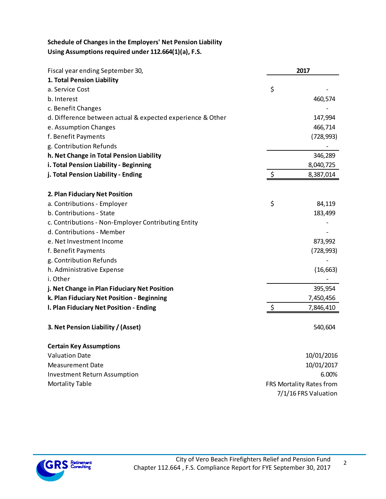## **Schedule of Changes in the Employers' Net Pension Liability Using Assumptions required under 112.664(1)(a), F.S.**

| Fiscal year ending September 30,                           | 2017                     |
|------------------------------------------------------------|--------------------------|
| 1. Total Pension Liability                                 |                          |
| a. Service Cost                                            | \$                       |
| b. Interest                                                | 460,574                  |
| c. Benefit Changes                                         |                          |
| d. Difference between actual & expected experience & Other | 147,994                  |
| e. Assumption Changes                                      | 466,714                  |
| f. Benefit Payments                                        | (728, 993)               |
| g. Contribution Refunds                                    |                          |
| h. Net Change in Total Pension Liability                   | 346,289                  |
| i. Total Pension Liability - Beginning                     | 8,040,725                |
| j. Total Pension Liability - Ending                        | \$<br>8,387,014          |
| 2. Plan Fiduciary Net Position                             |                          |
| a. Contributions - Employer                                | \$<br>84,119             |
| b. Contributions - State                                   | 183,499                  |
| c. Contributions - Non-Employer Contributing Entity        |                          |
| d. Contributions - Member                                  |                          |
| e. Net Investment Income                                   | 873,992                  |
| f. Benefit Payments                                        | (728, 993)               |
| g. Contribution Refunds                                    |                          |
| h. Administrative Expense                                  | (16, 663)                |
| i. Other                                                   |                          |
| j. Net Change in Plan Fiduciary Net Position               | 395,954                  |
| k. Plan Fiduciary Net Position - Beginning                 | 7,450,456                |
| I. Plan Fiduciary Net Position - Ending                    | \$<br>7,846,410          |
| 3. Net Pension Liability / (Asset)                         | 540,604                  |
| <b>Certain Key Assumptions</b>                             |                          |
| <b>Valuation Date</b>                                      | 10/01/2016               |
| <b>Measurement Date</b>                                    | 10/01/2017               |
| <b>Investment Return Assumption</b>                        | 6.00%                    |
| <b>Mortality Table</b>                                     | FRS Mortality Rates from |
|                                                            | 7/1/16 FRS Valuation     |

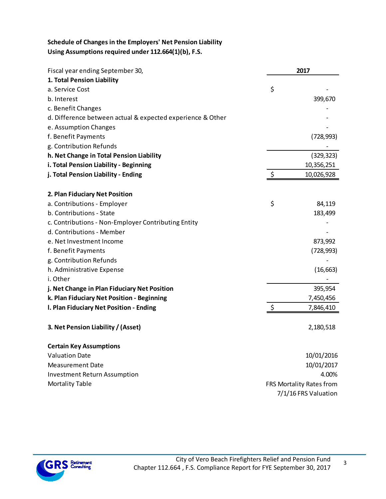## **Schedule of Changes in the Employers' Net Pension Liability Using Assumptions required under 112.664(1)(b), F.S.**

| Fiscal year ending September 30,                           | 2017                     |
|------------------------------------------------------------|--------------------------|
| 1. Total Pension Liability                                 |                          |
| a. Service Cost                                            | \$                       |
| b. Interest                                                | 399,670                  |
| c. Benefit Changes                                         |                          |
| d. Difference between actual & expected experience & Other |                          |
| e. Assumption Changes                                      |                          |
| f. Benefit Payments                                        | (728, 993)               |
| g. Contribution Refunds                                    |                          |
| h. Net Change in Total Pension Liability                   | (329, 323)               |
| i. Total Pension Liability - Beginning                     | 10,356,251               |
| j. Total Pension Liability - Ending                        | \$<br>10,026,928         |
|                                                            |                          |
| 2. Plan Fiduciary Net Position                             |                          |
| a. Contributions - Employer                                | \$<br>84,119             |
| b. Contributions - State                                   | 183,499                  |
| c. Contributions - Non-Employer Contributing Entity        |                          |
| d. Contributions - Member                                  |                          |
| e. Net Investment Income                                   | 873,992                  |
| f. Benefit Payments                                        | (728, 993)               |
| g. Contribution Refunds                                    |                          |
| h. Administrative Expense                                  | (16, 663)                |
| i. Other                                                   |                          |
| j. Net Change in Plan Fiduciary Net Position               | 395,954                  |
| k. Plan Fiduciary Net Position - Beginning                 | 7,450,456                |
| I. Plan Fiduciary Net Position - Ending                    | \$<br>7,846,410          |
| 3. Net Pension Liability / (Asset)                         | 2,180,518                |
| <b>Certain Key Assumptions</b>                             |                          |
| <b>Valuation Date</b>                                      | 10/01/2016               |
| <b>Measurement Date</b>                                    | 10/01/2017               |
| <b>Investment Return Assumption</b>                        | 4.00%                    |
| <b>Mortality Table</b>                                     | FRS Mortality Rates from |
|                                                            | 7/1/16 FRS Valuation     |



3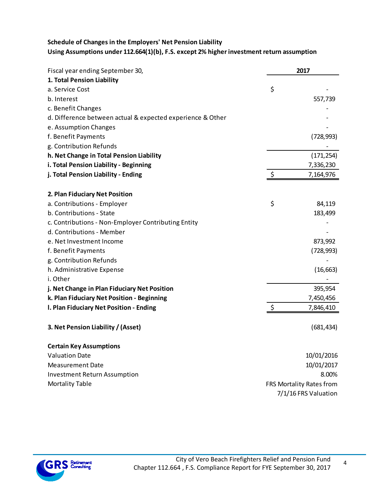# **Schedule of Changes in the Employers' Net Pension Liability**

# **Using Assumptions under 112.664(1)(b), F.S. except 2% higher investment return assumption**

| Fiscal year ending September 30,                           | 2017                     |
|------------------------------------------------------------|--------------------------|
| 1. Total Pension Liability                                 |                          |
| a. Service Cost                                            | \$                       |
| b. Interest                                                | 557,739                  |
| c. Benefit Changes                                         |                          |
| d. Difference between actual & expected experience & Other |                          |
| e. Assumption Changes                                      |                          |
| f. Benefit Payments                                        | (728, 993)               |
| g. Contribution Refunds                                    |                          |
| h. Net Change in Total Pension Liability                   | (171, 254)               |
| i. Total Pension Liability - Beginning                     | 7,336,230                |
| j. Total Pension Liability - Ending                        | \$<br>7,164,976          |
| 2. Plan Fiduciary Net Position                             |                          |
| a. Contributions - Employer                                | \$<br>84,119             |
| b. Contributions - State                                   | 183,499                  |
| c. Contributions - Non-Employer Contributing Entity        |                          |
| d. Contributions - Member                                  |                          |
| e. Net Investment Income                                   | 873,992                  |
| f. Benefit Payments                                        | (728, 993)               |
| g. Contribution Refunds                                    |                          |
| h. Administrative Expense                                  | (16, 663)                |
| i. Other                                                   |                          |
| j. Net Change in Plan Fiduciary Net Position               | 395,954                  |
| k. Plan Fiduciary Net Position - Beginning                 | 7,450,456                |
| I. Plan Fiduciary Net Position - Ending                    | \$<br>7,846,410          |
| 3. Net Pension Liability / (Asset)                         | (681, 434)               |
| <b>Certain Key Assumptions</b>                             |                          |
| <b>Valuation Date</b>                                      | 10/01/2016               |
| <b>Measurement Date</b>                                    | 10/01/2017               |
| <b>Investment Return Assumption</b>                        | 8.00%                    |
| <b>Mortality Table</b>                                     | FRS Mortality Rates from |
|                                                            | 7/1/16 FRS Valuation     |

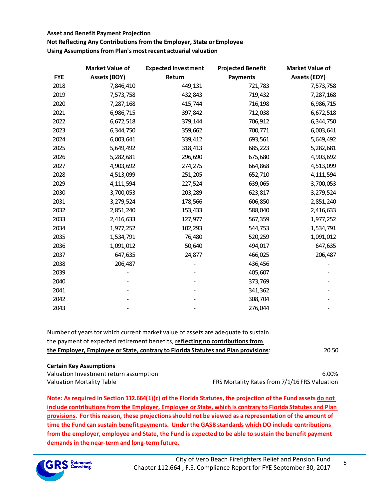**Not Reflecting Any Contributions from the Employer, State or Employee**

**Using Assumptions from Plan's most recent actuarial valuation**

|            | <b>Market Value of</b> | <b>Expected Investment</b> | <b>Projected Benefit</b> | <b>Market Value of</b> |
|------------|------------------------|----------------------------|--------------------------|------------------------|
| <b>FYE</b> | <b>Assets (BOY)</b>    | Return                     | <b>Payments</b>          | <b>Assets (EOY)</b>    |
| 2018       | 7,846,410              | 449,131                    | 721,783                  | 7,573,758              |
| 2019       | 7,573,758              | 432,843                    | 719,432                  | 7,287,168              |
| 2020       | 7,287,168              | 415,744                    | 716,198                  | 6,986,715              |
| 2021       | 6,986,715              | 397,842                    | 712,038                  | 6,672,518              |
| 2022       | 6,672,518              | 379,144                    | 706,912                  | 6,344,750              |
| 2023       | 6,344,750              | 359,662                    | 700,771                  | 6,003,641              |
| 2024       | 6,003,641              | 339,412                    | 693,561                  | 5,649,492              |
| 2025       | 5,649,492              | 318,413                    | 685,223                  | 5,282,681              |
| 2026       | 5,282,681              | 296,690                    | 675,680                  | 4,903,692              |
| 2027       | 4,903,692              | 274,275                    | 664,868                  | 4,513,099              |
| 2028       | 4,513,099              | 251,205                    | 652,710                  | 4,111,594              |
| 2029       | 4,111,594              | 227,524                    | 639,065                  | 3,700,053              |
| 2030       | 3,700,053              | 203,289                    | 623,817                  | 3,279,524              |
| 2031       | 3,279,524              | 178,566                    | 606,850                  | 2,851,240              |
| 2032       | 2,851,240              | 153,433                    | 588,040                  | 2,416,633              |
| 2033       | 2,416,633              | 127,977                    | 567,359                  | 1,977,252              |
| 2034       | 1,977,252              | 102,293                    | 544,753                  | 1,534,791              |
| 2035       | 1,534,791              | 76,480                     | 520,259                  | 1,091,012              |
| 2036       | 1,091,012              | 50,640                     | 494,017                  | 647,635                |
| 2037       | 647,635                | 24,877                     | 466,025                  | 206,487                |
| 2038       | 206,487                |                            | 436,456                  |                        |
| 2039       |                        |                            | 405,607                  |                        |
| 2040       |                        |                            | 373,769                  |                        |
| 2041       |                        |                            | 341,362                  |                        |
| 2042       |                        |                            | 308,704                  |                        |
| 2043       |                        |                            | 276,044                  |                        |

| Number of years for which current market value of assets are adequate to sustain<br>the payment of expected retirement benefits, reflecting no contributions from |       |
|-------------------------------------------------------------------------------------------------------------------------------------------------------------------|-------|
| the Employer, Employee or State, contrary to Florida Statutes and Plan provisions:                                                                                | 20.50 |

#### **Certain Key Assumptions**

Valuation Investment return assumption 6.00%

Valuation Mortality Table **FRS Mortality Rates from 7/1/16 FRS Valuation** 

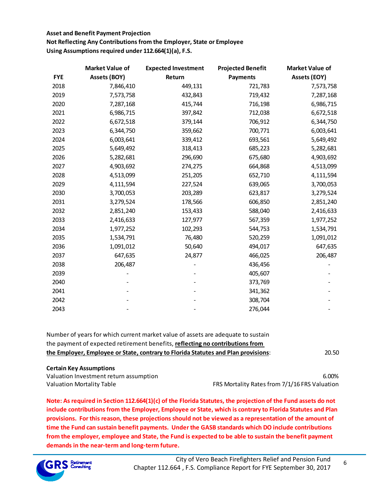**Not Reflecting Any Contributions from the Employer, State or Employee Using Assumptions required under 112.664(1)(a), F.S.**

|            | <b>Market Value of</b> | <b>Expected Investment</b> | <b>Projected Benefit</b> | <b>Market Value of</b> |
|------------|------------------------|----------------------------|--------------------------|------------------------|
| <b>FYE</b> | <b>Assets (BOY)</b>    | Return                     | <b>Payments</b>          | <b>Assets (EOY)</b>    |
| 2018       | 7,846,410              | 449,131                    | 721,783                  | 7,573,758              |
| 2019       | 7,573,758              | 432,843                    | 719,432                  | 7,287,168              |
| 2020       | 7,287,168              | 415,744                    | 716,198                  | 6,986,715              |
| 2021       | 6,986,715              | 397,842                    | 712,038                  | 6,672,518              |
| 2022       | 6,672,518              | 379,144                    | 706,912                  | 6,344,750              |
| 2023       | 6,344,750              | 359,662                    | 700,771                  | 6,003,641              |
| 2024       | 6,003,641              | 339,412                    | 693,561                  | 5,649,492              |
| 2025       | 5,649,492              | 318,413                    | 685,223                  | 5,282,681              |
| 2026       | 5,282,681              | 296,690                    | 675,680                  | 4,903,692              |
| 2027       | 4,903,692              | 274,275                    | 664,868                  | 4,513,099              |
| 2028       | 4,513,099              | 251,205                    | 652,710                  | 4,111,594              |
| 2029       | 4,111,594              | 227,524                    | 639,065                  | 3,700,053              |
| 2030       | 3,700,053              | 203,289                    | 623,817                  | 3,279,524              |
| 2031       | 3,279,524              | 178,566                    | 606,850                  | 2,851,240              |
| 2032       | 2,851,240              | 153,433                    | 588,040                  | 2,416,633              |
| 2033       | 2,416,633              | 127,977                    | 567,359                  | 1,977,252              |
| 2034       | 1,977,252              | 102,293                    | 544,753                  | 1,534,791              |
| 2035       | 1,534,791              | 76,480                     | 520,259                  | 1,091,012              |
| 2036       | 1,091,012              | 50,640                     | 494,017                  | 647,635                |
| 2037       | 647,635                | 24,877                     | 466,025                  | 206,487                |
| 2038       | 206,487                |                            | 436,456                  |                        |
| 2039       |                        |                            | 405,607                  |                        |
| 2040       |                        |                            | 373,769                  |                        |
| 2041       |                        |                            | 341,362                  |                        |
| 2042       |                        |                            | 308,704                  |                        |
| 2043       |                        |                            | 276,044                  |                        |

20.50 Number of years for which current market value of assets are adequate to sustain the payment of expected retirement benefits, **reflecting no contributions from the Employer, Employee or State, contrary to Florida Statutes and Plan provisions**:

#### **Certain Key Assumptions**

Valuation Investment return assumption 6.00% and the contract of the contract of the contract of the contract of the contract of the contract of the contract of the contract of the contract of the contract of the contract Valuation Mortality Table **FRS Mortality Rates from 7/1/16 FRS** Valuation

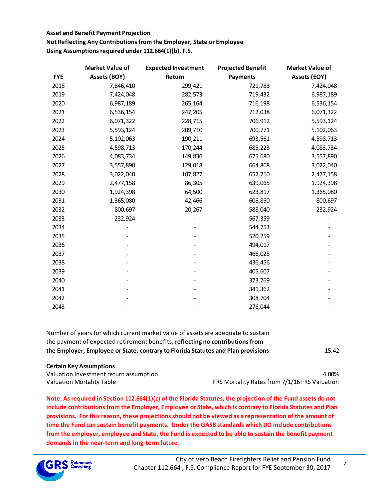**Not Reflecting Any Contributions from the Employer, State or Employee Using Assumptions required under 112.664(1)(b), F.S.**

|            | <b>Market Value of</b> | <b>Expected Investment</b> | <b>Projected Benefit</b> | Market Value of     |
|------------|------------------------|----------------------------|--------------------------|---------------------|
| <b>FYE</b> | <b>Assets (BOY)</b>    | Return                     | <b>Payments</b>          | <b>Assets (EOY)</b> |
| 2018       | 7,846,410              | 299,421                    | 721,783                  | 7,424,048           |
| 2019       | 7,424,048              | 282,573                    | 719,432                  | 6,987,189           |
| 2020       | 6,987,189              | 265,164                    | 716,198                  | 6,536,154           |
| 2021       | 6,536,154              | 247,205                    | 712,038                  | 6,071,322           |
| 2022       | 6,071,322              | 228,715                    | 706,912                  | 5,593,124           |
| 2023       | 5,593,124              | 209,710                    | 700,771                  | 5,102,063           |
| 2024       | 5,102,063              | 190,211                    | 693,561                  | 4,598,713           |
| 2025       | 4,598,713              | 170,244                    | 685,223                  | 4,083,734           |
| 2026       | 4,083,734              | 149,836                    | 675,680                  | 3,557,890           |
| 2027       | 3,557,890              | 129,018                    | 664,868                  | 3,022,040           |
| 2028       | 3,022,040              | 107,827                    | 652,710                  | 2,477,158           |
| 2029       | 2,477,158              | 86,305                     | 639,065                  | 1,924,398           |
| 2030       | 1,924,398              | 64,500                     | 623,817                  | 1,365,080           |
| 2031       | 1,365,080              | 42,466                     | 606,850                  | 800,697             |
| 2032       | 800,697                | 20,267                     | 588,040                  | 232,924             |
| 2033       | 232,924                |                            | 567,359                  |                     |
| 2034       |                        |                            | 544,753                  |                     |
| 2035       |                        |                            | 520,259                  |                     |
| 2036       |                        |                            | 494,017                  |                     |
| 2037       |                        |                            | 466,025                  |                     |
| 2038       |                        |                            | 436,456                  |                     |
| 2039       |                        |                            | 405,607                  |                     |
| 2040       |                        |                            | 373,769                  |                     |
| 2041       |                        |                            | 341,362                  |                     |
| 2042       |                        |                            | 308,704                  |                     |
| 2043       |                        |                            | 276,044                  |                     |

| Number of years for which current market value of assets are adequate to sustain   |       |
|------------------------------------------------------------------------------------|-------|
| the payment of expected retirement benefits, reflecting no contributions from      |       |
| the Employer, Employee or State, contrary to Florida Statutes and Plan provisions: | 15.42 |

#### **Certain Key Assumptions**

Valuation Investment return assumption and the control of the control of the control of the control of the control of the control of the control of the control of the control of the control of the control of the control of

Valuation Mortality Table FRS Mortality Rates from 7/1/16 FRS Valuation

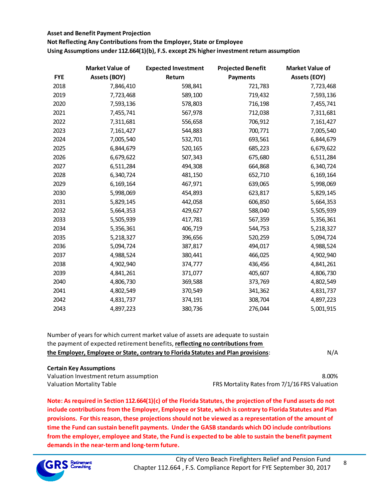**Not Reflecting Any Contributions from the Employer, State or Employee Using Assumptions under 112.664(1)(b), F.S. except 2% higher investment return assumption**

|            | <b>Market Value of</b> | <b>Expected Investment</b> | <b>Projected Benefit</b> | <b>Market Value of</b> |
|------------|------------------------|----------------------------|--------------------------|------------------------|
| <b>FYE</b> | <b>Assets (BOY)</b>    | Return                     | <b>Payments</b>          | <b>Assets (EOY)</b>    |
| 2018       | 7,846,410              | 598,841                    | 721,783                  | 7,723,468              |
| 2019       | 7,723,468              | 589,100                    | 719,432                  | 7,593,136              |
| 2020       | 7,593,136              | 578,803                    | 716,198                  | 7,455,741              |
| 2021       | 7,455,741              | 567,978                    | 712,038                  | 7,311,681              |
| 2022       | 7,311,681              | 556,658                    | 706,912                  | 7,161,427              |
| 2023       | 7,161,427              | 544,883                    | 700,771                  | 7,005,540              |
| 2024       | 7,005,540              | 532,701                    | 693,561                  | 6,844,679              |
| 2025       | 6,844,679              | 520,165                    | 685,223                  | 6,679,622              |
| 2026       | 6,679,622              | 507,343                    | 675,680                  | 6,511,284              |
| 2027       | 6,511,284              | 494,308                    | 664,868                  | 6,340,724              |
| 2028       | 6,340,724              | 481,150                    | 652,710                  | 6,169,164              |
| 2029       | 6,169,164              | 467,971                    | 639,065                  | 5,998,069              |
| 2030       | 5,998,069              | 454,893                    | 623,817                  | 5,829,145              |
| 2031       | 5,829,145              | 442,058                    | 606,850                  | 5,664,353              |
| 2032       | 5,664,353              | 429,627                    | 588,040                  | 5,505,939              |
| 2033       | 5,505,939              | 417,781                    | 567,359                  | 5,356,361              |
| 2034       | 5,356,361              | 406,719                    | 544,753                  | 5,218,327              |
| 2035       | 5,218,327              | 396,656                    | 520,259                  | 5,094,724              |
| 2036       | 5,094,724              | 387,817                    | 494,017                  | 4,988,524              |
| 2037       | 4,988,524              | 380,441                    | 466,025                  | 4,902,940              |
| 2038       | 4,902,940              | 374,777                    | 436,456                  | 4,841,261              |
| 2039       | 4,841,261              | 371,077                    | 405,607                  | 4,806,730              |
| 2040       | 4,806,730              | 369,588                    | 373,769                  | 4,802,549              |
| 2041       | 4,802,549              | 370,549                    | 341,362                  | 4,831,737              |
| 2042       | 4,831,737              | 374,191                    | 308,704                  | 4,897,223              |
| 2043       | 4,897,223              | 380,736                    | 276,044                  | 5,001,915              |

| the payment of expected retirement benefits, reflecting no contributions from      |     |
|------------------------------------------------------------------------------------|-----|
| the Employer, Employee or State, contrary to Florida Statutes and Plan provisions: | N/A |

#### **Certain Key Assumptions**

Valuation Investment return assumption 8.00% Valuation Mortality Table FRS Mortality Rates from 7/1/16 FRS Valuation